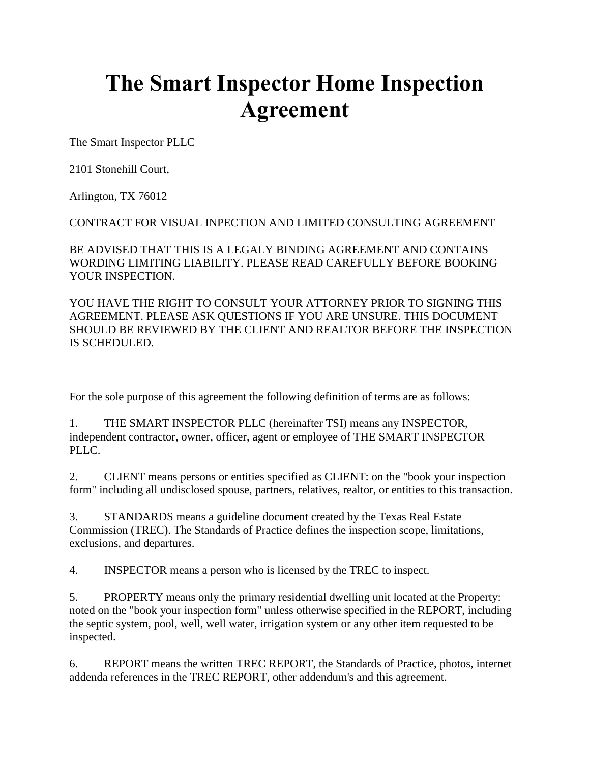## **The Smart Inspector Home Inspection Agreement**

The Smart Inspector PLLC

2101 Stonehill Court,

Arlington, TX 76012

CONTRACT FOR VISUAL INPECTION AND LIMITED CONSULTING AGREEMENT

BE ADVISED THAT THIS IS A LEGALY BINDING AGREEMENT AND CONTAINS WORDING LIMITING LIABILITY. PLEASE READ CAREFULLY BEFORE BOOKING YOUR INSPECTION.

YOU HAVE THE RIGHT TO CONSULT YOUR ATTORNEY PRIOR TO SIGNING THIS AGREEMENT. PLEASE ASK QUESTIONS IF YOU ARE UNSURE. THIS DOCUMENT SHOULD BE REVIEWED BY THE CLIENT AND REALTOR BEFORE THE INSPECTION IS SCHEDULED.

For the sole purpose of this agreement the following definition of terms are as follows:

1. THE SMART INSPECTOR PLLC (hereinafter TSI) means any INSPECTOR, independent contractor, owner, officer, agent or employee of THE SMART INSPECTOR PLLC.

2. CLIENT means persons or entities specified as CLIENT: on the "book your inspection form" including all undisclosed spouse, partners, relatives, realtor, or entities to this transaction.

3. STANDARDS means a guideline document created by the Texas Real Estate Commission (TREC). The Standards of Practice defines the inspection scope, limitations, exclusions, and departures.

4. INSPECTOR means a person who is licensed by the TREC to inspect.

5. PROPERTY means only the primary residential dwelling unit located at the Property: noted on the "book your inspection form" unless otherwise specified in the REPORT, including the septic system, pool, well, well water, irrigation system or any other item requested to be inspected.

6. REPORT means the written TREC REPORT, the Standards of Practice, photos, internet addenda references in the TREC REPORT, other addendum's and this agreement.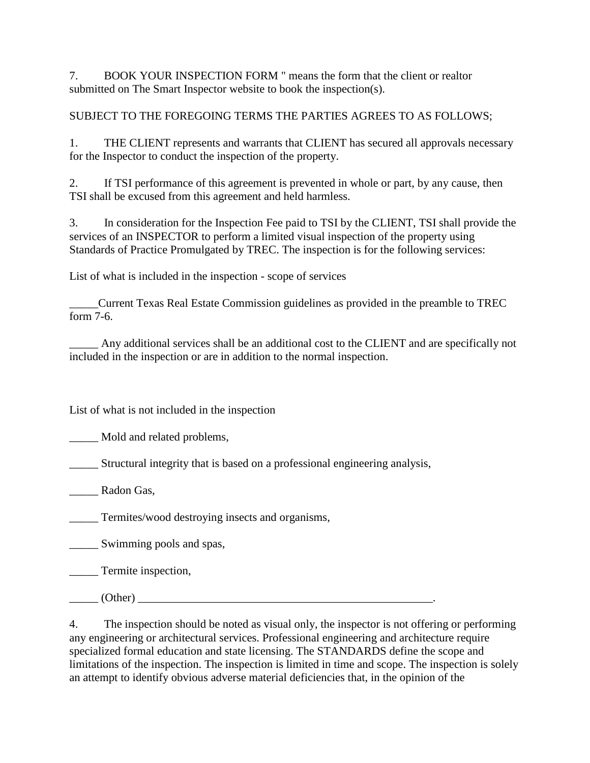7. BOOK YOUR INSPECTION FORM " means the form that the client or realtor submitted on The Smart Inspector website to book the inspection(s).

SUBJECT TO THE FOREGOING TERMS THE PARTIES AGREES TO AS FOLLOWS;

1. THE CLIENT represents and warrants that CLIENT has secured all approvals necessary for the Inspector to conduct the inspection of the property.

2. If TSI performance of this agreement is prevented in whole or part, by any cause, then TSI shall be excused from this agreement and held harmless.

3. In consideration for the Inspection Fee paid to TSI by the CLIENT, TSI shall provide the services of an INSPECTOR to perform a limited visual inspection of the property using Standards of Practice Promulgated by TREC. The inspection is for the following services:

List of what is included in the inspection - scope of services

\_\_\_\_\_Current Texas Real Estate Commission guidelines as provided in the preamble to TREC form 7-6.

\_\_\_\_\_ Any additional services shall be an additional cost to the CLIENT and are specifically not included in the inspection or are in addition to the normal inspection.

List of what is not included in the inspection

Mold and related problems,

\_\_\_\_\_ Structural integrity that is based on a professional engineering analysis,

\_\_\_\_\_ Radon Gas,

**Termites/wood destroying insects and organisms,** 

\_\_\_\_\_ Swimming pools and spas,

**Termite inspection,** 

 $(Other)$ 

4. The inspection should be noted as visual only, the inspector is not offering or performing any engineering or architectural services. Professional engineering and architecture require specialized formal education and state licensing. The STANDARDS define the scope and limitations of the inspection. The inspection is limited in time and scope. The inspection is solely an attempt to identify obvious adverse material deficiencies that, in the opinion of the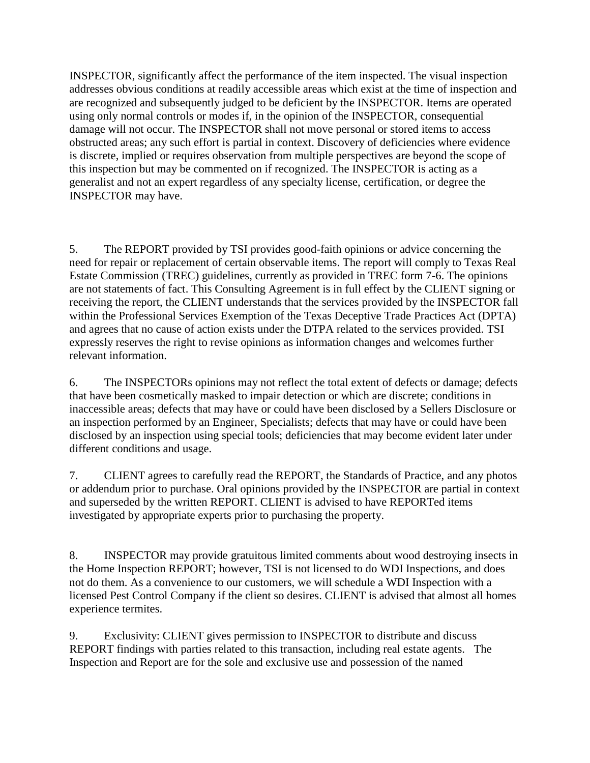INSPECTOR, significantly affect the performance of the item inspected. The visual inspection addresses obvious conditions at readily accessible areas which exist at the time of inspection and are recognized and subsequently judged to be deficient by the INSPECTOR. Items are operated using only normal controls or modes if, in the opinion of the INSPECTOR, consequential damage will not occur. The INSPECTOR shall not move personal or stored items to access obstructed areas; any such effort is partial in context. Discovery of deficiencies where evidence is discrete, implied or requires observation from multiple perspectives are beyond the scope of this inspection but may be commented on if recognized. The INSPECTOR is acting as a generalist and not an expert regardless of any specialty license, certification, or degree the INSPECTOR may have.

5. The REPORT provided by TSI provides good-faith opinions or advice concerning the need for repair or replacement of certain observable items. The report will comply to Texas Real Estate Commission (TREC) guidelines, currently as provided in TREC form 7-6. The opinions are not statements of fact. This Consulting Agreement is in full effect by the CLIENT signing or receiving the report, the CLIENT understands that the services provided by the INSPECTOR fall within the Professional Services Exemption of the Texas Deceptive Trade Practices Act (DPTA) and agrees that no cause of action exists under the DTPA related to the services provided. TSI expressly reserves the right to revise opinions as information changes and welcomes further relevant information.

6. The INSPECTORs opinions may not reflect the total extent of defects or damage; defects that have been cosmetically masked to impair detection or which are discrete; conditions in inaccessible areas; defects that may have or could have been disclosed by a Sellers Disclosure or an inspection performed by an Engineer, Specialists; defects that may have or could have been disclosed by an inspection using special tools; deficiencies that may become evident later under different conditions and usage.

7. CLIENT agrees to carefully read the REPORT, the Standards of Practice, and any photos or addendum prior to purchase. Oral opinions provided by the INSPECTOR are partial in context and superseded by the written REPORT. CLIENT is advised to have REPORTed items investigated by appropriate experts prior to purchasing the property.

8. INSPECTOR may provide gratuitous limited comments about wood destroying insects in the Home Inspection REPORT; however, TSI is not licensed to do WDI Inspections, and does not do them. As a convenience to our customers, we will schedule a WDI Inspection with a licensed Pest Control Company if the client so desires. CLIENT is advised that almost all homes experience termites.

9. Exclusivity: CLIENT gives permission to INSPECTOR to distribute and discuss REPORT findings with parties related to this transaction, including real estate agents. The Inspection and Report are for the sole and exclusive use and possession of the named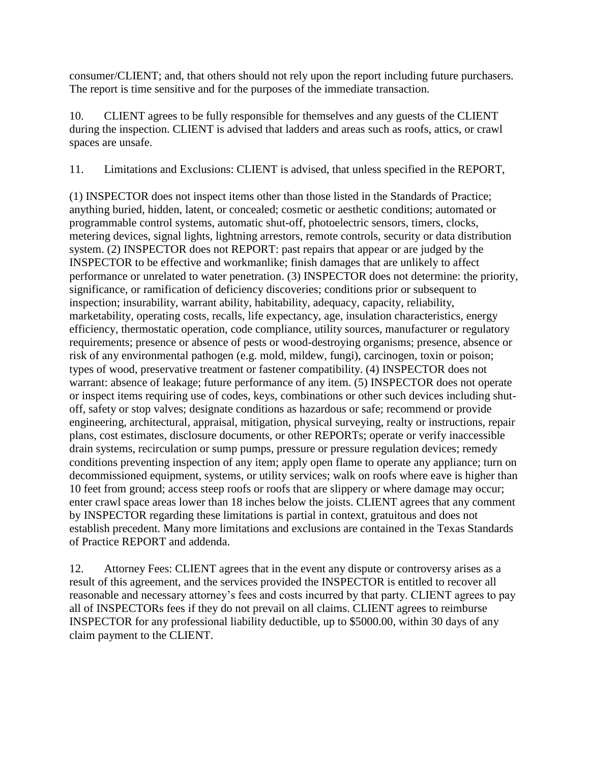consumer/CLIENT; and, that others should not rely upon the report including future purchasers. The report is time sensitive and for the purposes of the immediate transaction.

10. CLIENT agrees to be fully responsible for themselves and any guests of the CLIENT during the inspection. CLIENT is advised that ladders and areas such as roofs, attics, or crawl spaces are unsafe.

11. Limitations and Exclusions: CLIENT is advised, that unless specified in the REPORT,

(1) INSPECTOR does not inspect items other than those listed in the Standards of Practice; anything buried, hidden, latent, or concealed; cosmetic or aesthetic conditions; automated or programmable control systems, automatic shut-off, photoelectric sensors, timers, clocks, metering devices, signal lights, lightning arrestors, remote controls, security or data distribution system. (2) INSPECTOR does not REPORT: past repairs that appear or are judged by the INSPECTOR to be effective and workmanlike; finish damages that are unlikely to affect performance or unrelated to water penetration. (3) INSPECTOR does not determine: the priority, significance, or ramification of deficiency discoveries; conditions prior or subsequent to inspection; insurability, warrant ability, habitability, adequacy, capacity, reliability, marketability, operating costs, recalls, life expectancy, age, insulation characteristics, energy efficiency, thermostatic operation, code compliance, utility sources, manufacturer or regulatory requirements; presence or absence of pests or wood-destroying organisms; presence, absence or risk of any environmental pathogen (e.g. mold, mildew, fungi), carcinogen, toxin or poison; types of wood, preservative treatment or fastener compatibility. (4) INSPECTOR does not warrant: absence of leakage; future performance of any item. (5) INSPECTOR does not operate or inspect items requiring use of codes, keys, combinations or other such devices including shutoff, safety or stop valves; designate conditions as hazardous or safe; recommend or provide engineering, architectural, appraisal, mitigation, physical surveying, realty or instructions, repair plans, cost estimates, disclosure documents, or other REPORTs; operate or verify inaccessible drain systems, recirculation or sump pumps, pressure or pressure regulation devices; remedy conditions preventing inspection of any item; apply open flame to operate any appliance; turn on decommissioned equipment, systems, or utility services; walk on roofs where eave is higher than 10 feet from ground; access steep roofs or roofs that are slippery or where damage may occur; enter crawl space areas lower than 18 inches below the joists. CLIENT agrees that any comment by INSPECTOR regarding these limitations is partial in context, gratuitous and does not establish precedent. Many more limitations and exclusions are contained in the Texas Standards of Practice REPORT and addenda.

12. Attorney Fees: CLIENT agrees that in the event any dispute or controversy arises as a result of this agreement, and the services provided the INSPECTOR is entitled to recover all reasonable and necessary attorney's fees and costs incurred by that party. CLIENT agrees to pay all of INSPECTORs fees if they do not prevail on all claims. CLIENT agrees to reimburse INSPECTOR for any professional liability deductible, up to \$5000.00, within 30 days of any claim payment to the CLIENT.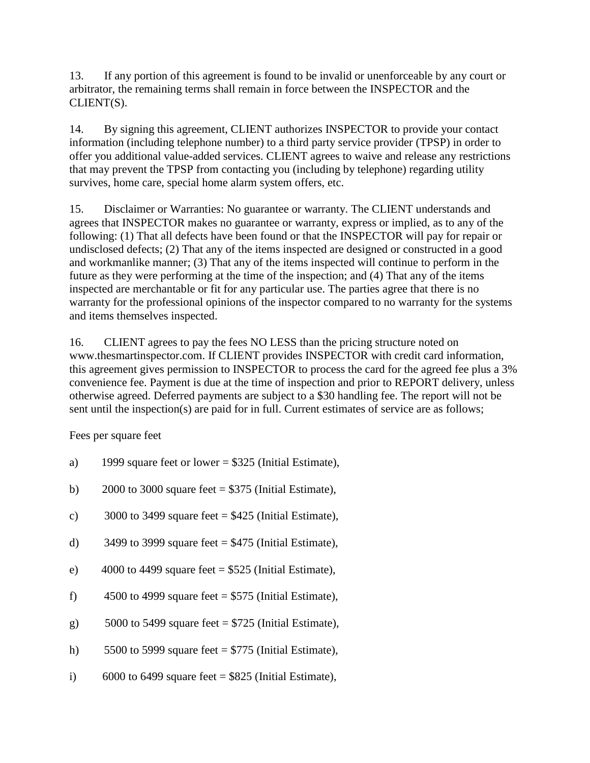13. If any portion of this agreement is found to be invalid or unenforceable by any court or arbitrator, the remaining terms shall remain in force between the INSPECTOR and the CLIENT(S).

14. By signing this agreement, CLIENT authorizes INSPECTOR to provide your contact information (including telephone number) to a third party service provider (TPSP) in order to offer you additional value-added services. CLIENT agrees to waive and release any restrictions that may prevent the TPSP from contacting you (including by telephone) regarding utility survives, home care, special home alarm system offers, etc.

15. Disclaimer or Warranties: No guarantee or warranty. The CLIENT understands and agrees that INSPECTOR makes no guarantee or warranty, express or implied, as to any of the following: (1) That all defects have been found or that the INSPECTOR will pay for repair or undisclosed defects; (2) That any of the items inspected are designed or constructed in a good and workmanlike manner; (3) That any of the items inspected will continue to perform in the future as they were performing at the time of the inspection; and (4) That any of the items inspected are merchantable or fit for any particular use. The parties agree that there is no warranty for the professional opinions of the inspector compared to no warranty for the systems and items themselves inspected.

16. CLIENT agrees to pay the fees NO LESS than the pricing structure noted on www.thesmartinspector.com. If CLIENT provides INSPECTOR with credit card information, this agreement gives permission to INSPECTOR to process the card for the agreed fee plus a 3% convenience fee. Payment is due at the time of inspection and prior to REPORT delivery, unless otherwise agreed. Deferred payments are subject to a \$30 handling fee. The report will not be sent until the inspection(s) are paid for in full. Current estimates of service are as follows;

Fees per square feet

- a) 1999 square feet or lower =  $$325$  (Initial Estimate),
- b) 2000 to 3000 square feet  $= $375$  (Initial Estimate),
- c) 3000 to 3499 square feet  $= $425$  (Initial Estimate),
- d) 3499 to 3999 square feet  $= $475$  (Initial Estimate),
- e) 4000 to 4499 square feet =  $$525$  (Initial Estimate),
- f) 4500 to 4999 square feet =  $$575$  (Initial Estimate),
- g)  $5000$  to 5499 square feet = \$725 (Initial Estimate),
- h) 5500 to 5999 square feet  $= $775$  (Initial Estimate),
- i) 6000 to 6499 square feet =  $$825$  (Initial Estimate),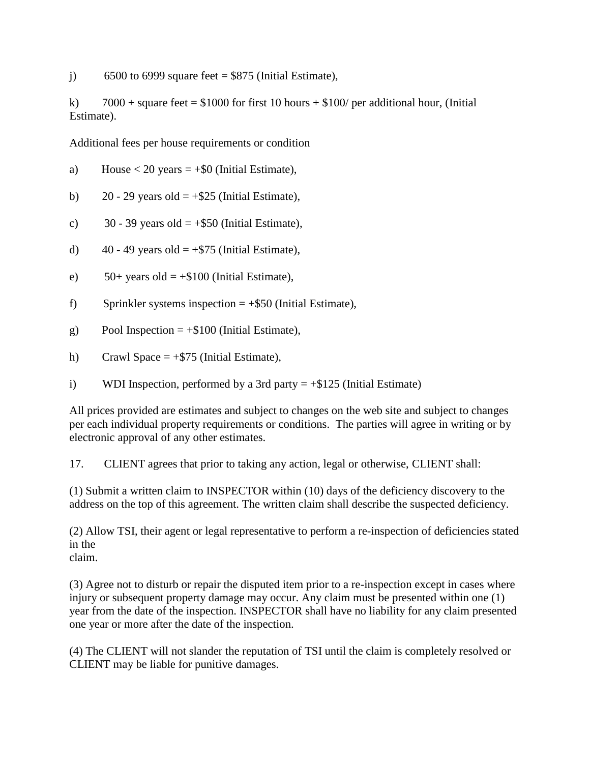j) 6500 to 6999 square feet  $=$  \$875 (Initial Estimate),

k)  $7000 + \text{square feet} = $1000$  for first 10 hours  $+ $100/$  per additional hour, (Initial Estimate).

Additional fees per house requirements or condition

a) House  $< 20$  years  $= +\$0$  (Initial Estimate),

b)  $20 - 29$  years old  $= +\$25$  (Initial Estimate),

c)  $30 - 39$  years old  $= +\$50$  (Initial Estimate),

d)  $40 - 49$  years old  $= +\$75$  (Initial Estimate),

e)  $50+$  years old  $= +\$100$  (Initial Estimate),

f) Sprinkler systems inspection  $= +\$50$  (Initial Estimate),

g) Pool Inspection  $= +\$100$  (Initial Estimate),

h) Crawl Space  $= +\$75$  (Initial Estimate),

i) WDI Inspection, performed by a 3rd party  $= +\$125$  (Initial Estimate)

All prices provided are estimates and subject to changes on the web site and subject to changes per each individual property requirements or conditions. The parties will agree in writing or by electronic approval of any other estimates.

17. CLIENT agrees that prior to taking any action, legal or otherwise, CLIENT shall:

(1) Submit a written claim to INSPECTOR within (10) days of the deficiency discovery to the address on the top of this agreement. The written claim shall describe the suspected deficiency.

(2) Allow TSI, their agent or legal representative to perform a re-inspection of deficiencies stated in the claim.

(3) Agree not to disturb or repair the disputed item prior to a re-inspection except in cases where injury or subsequent property damage may occur. Any claim must be presented within one (1) year from the date of the inspection. INSPECTOR shall have no liability for any claim presented one year or more after the date of the inspection.

(4) The CLIENT will not slander the reputation of TSI until the claim is completely resolved or CLIENT may be liable for punitive damages.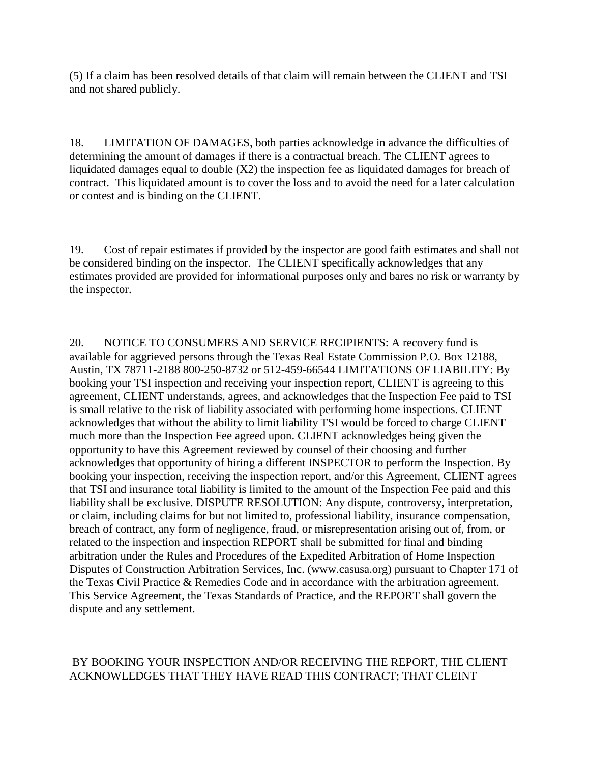(5) If a claim has been resolved details of that claim will remain between the CLIENT and TSI and not shared publicly.

18. LIMITATION OF DAMAGES, both parties acknowledge in advance the difficulties of determining the amount of damages if there is a contractual breach. The CLIENT agrees to liquidated damages equal to double  $(X2)$  the inspection fee as liquidated damages for breach of contract. This liquidated amount is to cover the loss and to avoid the need for a later calculation or contest and is binding on the CLIENT.

19. Cost of repair estimates if provided by the inspector are good faith estimates and shall not be considered binding on the inspector. The CLIENT specifically acknowledges that any estimates provided are provided for informational purposes only and bares no risk or warranty by the inspector.

20. NOTICE TO CONSUMERS AND SERVICE RECIPIENTS: A recovery fund is available for aggrieved persons through the Texas Real Estate Commission P.O. Box 12188, Austin, TX 78711-2188 800-250-8732 or 512-459-66544 LIMITATIONS OF LIABILITY: By booking your TSI inspection and receiving your inspection report, CLIENT is agreeing to this agreement, CLIENT understands, agrees, and acknowledges that the Inspection Fee paid to TSI is small relative to the risk of liability associated with performing home inspections. CLIENT acknowledges that without the ability to limit liability TSI would be forced to charge CLIENT much more than the Inspection Fee agreed upon. CLIENT acknowledges being given the opportunity to have this Agreement reviewed by counsel of their choosing and further acknowledges that opportunity of hiring a different INSPECTOR to perform the Inspection. By booking your inspection, receiving the inspection report, and/or this Agreement, CLIENT agrees that TSI and insurance total liability is limited to the amount of the Inspection Fee paid and this liability shall be exclusive. DISPUTE RESOLUTION: Any dispute, controversy, interpretation, or claim, including claims for but not limited to, professional liability, insurance compensation, breach of contract, any form of negligence, fraud, or misrepresentation arising out of, from, or related to the inspection and inspection REPORT shall be submitted for final and binding arbitration under the Rules and Procedures of the Expedited Arbitration of Home Inspection Disputes of Construction Arbitration Services, Inc. (www.casusa.org) pursuant to Chapter 171 of the Texas Civil Practice & Remedies Code and in accordance with the arbitration agreement. This Service Agreement, the Texas Standards of Practice, and the REPORT shall govern the dispute and any settlement.

## BY BOOKING YOUR INSPECTION AND/OR RECEIVING THE REPORT, THE CLIENT ACKNOWLEDGES THAT THEY HAVE READ THIS CONTRACT; THAT CLEINT